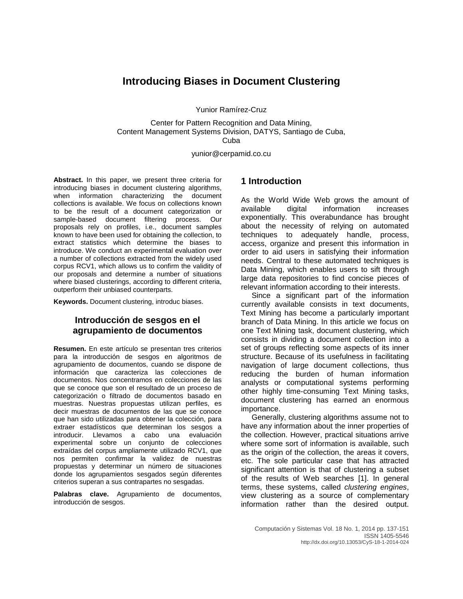# **Introducing Biases in Document Clustering**

Yunior Ramírez-Cruz

Center for Pattern Recognition and Data Mining, Content Management Systems Division, DATYS, Santiago de Cuba, Cuba

yunior@cerpamid.co.cu

**Abstract.** In this paper, we present three criteria for introducing biases in document clustering algorithms, when information characterizing the document collections is available. We focus on collections known to be the result of a document categorization or sample-based document filtering process. Our proposals rely on profiles, i.e., document samples known to have been used for obtaining the collection, to extract statistics which determine the biases to introduce. We conduct an experimental evaluation over a number of collections extracted from the widely used corpus RCV1, which allows us to confirm the validity of our proposals and determine a number of situations where biased clusterings, according to different criteria, outperform their unbiased counterparts.

**Keywords.** Document clustering, introduc biases.

# **Introducción de sesgos en el agrupamiento de documentos**

**Resumen.** En este artículo se presentan tres criterios para la introducción de sesgos en algoritmos de agrupamiento de documentos, cuando se dispone de información que caracteriza las colecciones de documentos. Nos concentramos en colecciones de las que se conoce que son el resultado de un proceso de categorización o filtrado de documentos basado en muestras. Nuestras propuestas utilizan perfiles, es decir muestras de documentos de las que se conoce que han sido utilizadas para obtener la colección, para extraer estadísticos que determinan los sesgos a introducir. Llevamos a cabo una evaluación experimental sobre un conjunto de colecciones extraídas del corpus ampliamente utilizado RCV1, que nos permiten confirmar la validez de nuestras propuestas y determinar un número de situaciones donde los agrupamientos sesgados según diferentes criterios superan a sus contrapartes no sesgadas.

**Palabras clave.** Agrupamiento de documentos, introducción de sesgos.

# **1 Introduction**

As the World Wide Web grows the amount of available digital information increases information increases exponentially. This overabundance has brought about the necessity of relying on automated techniques to adequately handle, process, access, organize and present this information in order to aid users in satisfying their information needs. Central to these automated techniques is Data Mining, which enables users to sift through large data repositories to find concise pieces of relevant information according to their interests.

Since a significant part of the information currently available consists in text documents, Text Mining has become a particularly important branch of Data Mining. In this article we focus on one Text Mining task, document clustering, which consists in dividing a document collection into a set of groups reflecting some aspects of its inner structure. Because of its usefulness in facilitating navigation of large document collections, thus reducing the burden of human information analysts or computational systems performing other highly time-consuming Text Mining tasks, document clustering has earned an enormous importance.

Generally, clustering algorithms assume not to have any information about the inner properties of the collection. However, practical situations arrive where some sort of information is available, such as the origin of the collection, the areas it covers, etc. The sole particular case that has attracted significant attention is that of clustering a subset of the results of Web searches [1]. In general terms, these systems, called *clustering engines*, view clustering as a source of complementary information rather than the desired output.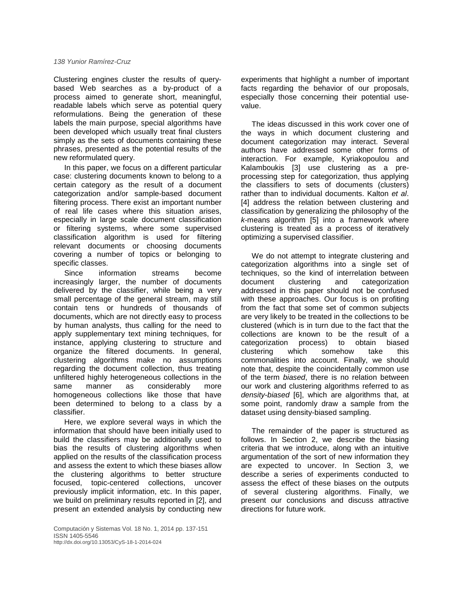Clustering engines cluster the results of querybased Web searches as a by-product of a process aimed to generate short, meaningful, readable labels which serve as potential query reformulations. Being the generation of these labels the main purpose, special algorithms have been developed which usually treat final clusters simply as the sets of documents containing these phrases, presented as the potential results of the new reformulated query.

In this paper, we focus on a different particular case: clustering documents known to belong to a certain category as the result of a document categorization and/or sample-based document filtering process. There exist an important number of real life cases where this situation arises, especially in large scale document classification or filtering systems, where some supervised classification algorithm is used for filtering relevant documents or choosing documents covering a number of topics or belonging to specific classes.

Since information streams become increasingly larger, the number of documents delivered by the classifier, while being a very small percentage of the general stream, may still contain tens or hundreds of thousands of documents, which are not directly easy to process by human analysts, thus calling for the need to apply supplementary text mining techniques, for instance, applying clustering to structure and organize the filtered documents. In general, clustering algorithms make no assumptions regarding the document collection, thus treating unfiltered highly heterogeneous collections in the<br>same manner as considerably more same manner as considerably homogeneous collections like those that have been determined to belong to a class by a classifier.

Here, we explore several ways in which the information that should have been initially used to build the classifiers may be additionally used to bias the results of clustering algorithms when applied on the results of the classification process and assess the extent to which these biases allow the clustering algorithms to better structure focused, topic-centered collections, uncover previously implicit information, etc. In this paper, we build on preliminary results reported in [2], and present an extended analysis by conducting new

Computación y Sistemas Vol. 18 No. 1, 2014 pp. 137-151 ISSN 1405-5546 http://dx.doi.org/10.13053/CyS-18-1-2014-024

experiments that highlight a number of important facts regarding the behavior of our proposals, especially those concerning their potential usevalue.

The ideas discussed in this work cover one of the ways in which document clustering and document categorization may interact. Several authors have addressed some other forms of interaction. For example, Kyriakopoulou and Kalamboukis [3] use clustering as a preprocessing step for categorization, thus applying the classifiers to sets of documents (clusters) rather than to individual documents. Kalton *et al*. [4] address the relation between clustering and classification by generalizing the philosophy of the *k*-means algorithm [5] into a framework where clustering is treated as a process of iteratively optimizing a supervised classifier.

We do not attempt to integrate clustering and categorization algorithms into a single set of techniques, so the kind of interrelation between document clustering and categorization addressed in this paper should not be confused with these approaches. Our focus is on profiting from the fact that some set of common subjects are very likely to be treated in the collections to be clustered (which is in turn due to the fact that the collections are known to be the result of a categorization process) to obtain biased clustering which somehow take this commonalities into account. Finally, we should note that, despite the coincidentally common use of the term *biased*, there is no relation between our work and clustering algorithms referred to as *density*-*biased* [6], which are algorithms that, at some point, randomly draw a sample from the dataset using density-biased sampling.

The remainder of the paper is structured as follows. In Section 2, we describe the biasing criteria that we introduce, along with an intuitive argumentation of the sort of new information they are expected to uncover. In Section 3, we describe a series of experiments conducted to assess the effect of these biases on the outputs of several clustering algorithms. Finally, we present our conclusions and discuss attractive directions for future work.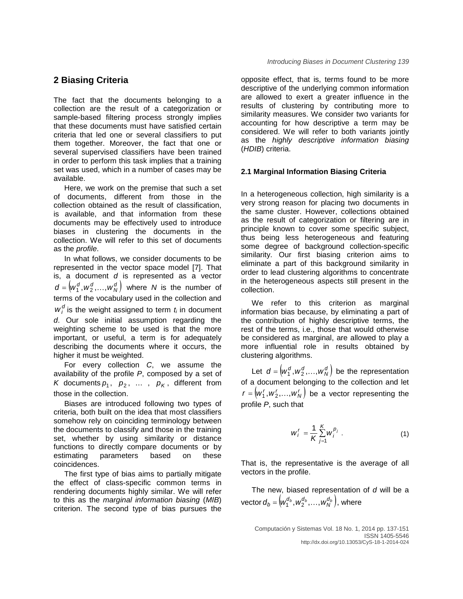## **2 Biasing Criteria**

The fact that the documents belonging to a collection are the result of a categorization or sample-based filtering process strongly implies that these documents must have satisfied certain criteria that led one or several classifiers to put them together. Moreover, the fact that one or several supervised classifiers have been trained in order to perform this task implies that a training set was used, which in a number of cases may be available.

Here, we work on the premise that such a set of documents, different from those in the collection obtained as the result of classification, is available, and that information from these documents may be effectively used to introduce biases in clustering the documents in the collection. We will refer to this set of documents as the *profile*.

In what follows, we consider documents to be represented in the vector space model [7]. That is, a document *d* is represented as a vector  $d = (w_1^d, w_2^d, ..., w_N^d)$  where *N* is the number of terms of the vocabulary used in the collection and  $w_i^d$  is the weight assigned to term  $t_i$  in document *d*. Our sole initial assumption regarding the weighting scheme to be used is that the more important, or useful, a term is for adequately describing the documents where it occurs, the higher it must be weighted.

For every collection *C*, we assume the availability of the profile *P*, composed by a set of *K* documents  $p_1$ ,  $p_2$ , ...,  $p_K$ , different from those in the collection.

Biases are introduced following two types of criteria, both built on the idea that most classifiers somehow rely on coinciding terminology between the documents to classify and those in the training set, whether by using similarity or distance functions to directly compare documents or by estimating parameters based on these coincidences.

The first type of bias aims to partially mitigate the effect of class-specific common terms in rendering documents highly similar. We will refer to this as the *marginal information biasing* (*MIB*) criterion. The second type of bias pursues the

opposite effect, that is, terms found to be more descriptive of the underlying common information are allowed to exert a greater influence in the results of clustering by contributing more to similarity measures. We consider two variants for accounting for how descriptive a term may be considered. We will refer to both variants jointly as the *highly descriptive information biasing* (*HDIB*) criteria.

### **2.1 Marginal Information Biasing Criteria**

In a heterogeneous collection, high similarity is a very strong reason for placing two documents in the same cluster. However, collections obtained as the result of categorization or filtering are in principle known to cover some specific subject, thus being less heterogeneous and featuring some degree of background collection-specific similarity. Our first biasing criterion aims to eliminate a part of this background similarity in order to lead clustering algorithms to concentrate in the heterogeneous aspects still present in the collection.

We refer to this criterion as marginal information bias because, by eliminating a part of the contribution of highly descriptive terms, the rest of the terms, i.e., those that would otherwise be considered as marginal, are allowed to play a more influential role in results obtained by clustering algorithms.

Let  $d = (w_1^d, w_2^d, ..., w_N^d)$  be the representation of a document belonging to the collection and let  $r = (w_1^r, w_2^r, \ldots, w_N^r)$  be a vector representing the profile *P*, such that

$$
W_{i}^{r} = \frac{1}{K} \sum_{j=1}^{K} W_{i}^{p_{j}}
$$
 (1)

That is, the representative is the average of all vectors in the profile.

The new, biased representation of *d* will be a vector  $\boldsymbol{d}_b = \left( w_1^{d_b}, w_2^{d_b}, \ldots, w_N^{d_b} \right)$ , where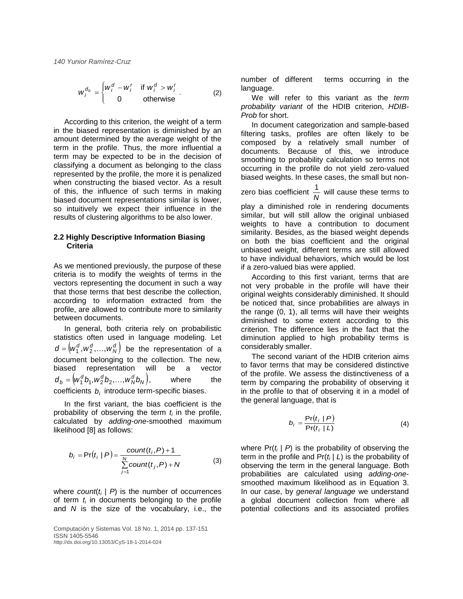$$
w_i^{d_b} = \begin{cases} w_i^d - w_i^r & \text{if } w_i^d > w_i^r \\ 0 & \text{otherwise} \end{cases} . \tag{2}
$$

According to this criterion, the weight of a term in the biased representation is diminished by an amount determined by the average weight of the term in the profile. Thus, the more influential a term may be expected to be in the decision of classifying a document as belonging to the class represented by the profile, the more it is penalized when constructing the biased vector. As a result of this, the influence of such terms in making biased document representations similar is lower, so intuitively we expect their influence in the results of clustering algorithms to be also lower.

### **2.2 Highly Descriptive Information Biasing Criteria**

As we mentioned previously, the purpose of these criteria is to modify the weights of terms in the vectors representing the document in such a way that those terms that best describe the collection, according to information extracted from the profile, are allowed to contribute more to similarity between documents.

In general, both criteria rely on probabilistic statistics often used in language modeling. Let  $d = (w_1^d, w_2^d, ..., w_N^d)$  be the representation of a document belonging to the collection. The new, biased representation will be a vector  $d_b = (w_1^d b_1, w_2^d b_2, ..., w_N^d b_N),$  where the coefficients *bi* introduce term-specific biases.

In the first variant, the bias coefficient is the probability of observing the term  $t_i$  in the profile, calculated by *adding*-*one*-smoothed maximum likelihood [8] as follows:

$$
b_i = \Pr(t_i | P) = \frac{count(t_i, P) + 1}{\sum_{j=1}^{N} count(t_j, P) + N}
$$
(3)

where  $count(t_i | P)$  is the number of occurrences of term *ti* in documents belonging to the profile and *N* is the size of the vocabulary, i.e., the

Computación y Sistemas Vol. 18 No. 1, 2014 pp. 137-151 ISSN 1405-5546 http://dx.doi.org/10.13053/CyS-18-1-2014-024

number of different terms occurring in the language.

We will refer to this variant as the *term probability variant* of the HDIB criterion, *HDIB-Prob* for short.

In document categorization and sample-based filtering tasks, profiles are often likely to be composed by a relatively small number of documents. Because of this, we introduce smoothing to probability calculation so terms not occurring in the profile do not yield zero-valued biased weights. In these cases, the small but non-

zero bias coefficient  $\frac{1}{N}$  will cause these terms to

play a diminished role in rendering documents similar, but will still allow the original unbiased weights to have a contribution to document similarity. Besides, as the biased weight depends on both the bias coefficient and the original unbiased weight, different terms are still allowed to have individual behaviors, which would be lost if a zero-valued bias were applied.

According to this first variant, terms that are not very probable in the profile will have their original weights considerably diminished. It should be noticed that, since probabilities are always in the range (0, 1), all terms will have their weights diminished to some extent according to this criterion. The difference lies in the fact that the diminution applied to high probability terms is considerably smaller.

The second variant of the HDIB criterion aims to favor terms that may be considered distinctive of the profile. We assess the distinctiveness of a term by comparing the probability of observing it in the profile to that of observing it in a model of the general language, that is

$$
b_i = \frac{\Pr(t_i \mid P)}{\Pr(t_i \mid L)}
$$
 (4)

where  $Pr(t_i | P)$  is the probability of observing the term in the profile and  $Pr(t_i | L)$  is the probability of observing the term in the general language. Both probabilities are calculated using *adding*-*one*smoothed maximum likelihood as in Equation 3. In our case, by *general language* we understand a global document collection from where all potential collections and its associated profiles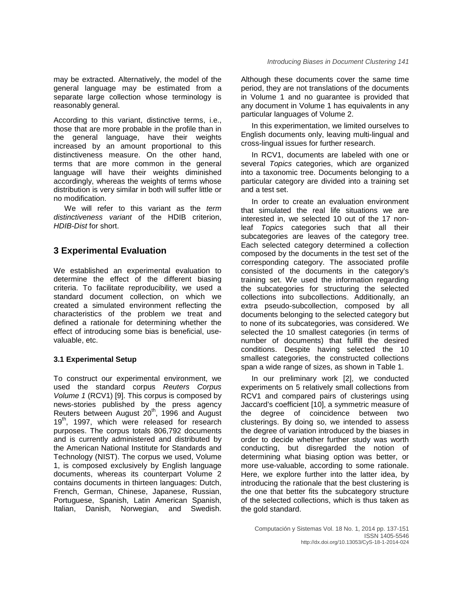may be extracted. Alternatively, the model of the general language may be estimated from a separate large collection whose terminology is reasonably general.

According to this variant, distinctive terms, i.e., those that are more probable in the profile than in the general language, have their weights increased by an amount proportional to this distinctiveness measure. On the other hand, terms that are more common in the general language will have their weights diminished accordingly, whereas the weights of terms whose distribution is very similar in both will suffer little or no modification.

We will refer to this variant as the *term distinctiveness variant* of the HDIB criterion, *HDIB-Dist* for short.

# **3 Experimental Evaluation**

We established an experimental evaluation to determine the effect of the different biasing criteria. To facilitate reproducibility, we used a standard document collection, on which we created a simulated environment reflecting the characteristics of the problem we treat and defined a rationale for determining whether the effect of introducing some bias is beneficial, usevaluable, etc.

### **3.1 Experimental Setup**

To construct our experimental environment, we used the standard corpus *Reuters Corpus Volume 1* (RCV1) [9]. This corpus is composed by news-stories published by the press agency Reuters between August 20<sup>th</sup>, 1996 and August 19<sup>th</sup>, 1997, which were released for research purposes. The corpus totals 806,792 documents and is currently administered and distributed by the American National Institute for Standards and Technology (NIST). The corpus we used, Volume 1, is composed exclusively by English language documents, whereas its counterpart Volume 2 contains documents in thirteen languages: Dutch, French, German, Chinese, Japanese, Russian, Portuguese, Spanish, Latin American Spanish, Italian, Danish, Norwegian, and Swedish.

Although these documents cover the same time period, they are not translations of the documents in Volume 1 and no guarantee is provided that any document in Volume 1 has equivalents in any particular languages of Volume 2.

*Introducing Biases in Document Clustering 141*

In this experimentation, we limited ourselves to English documents only, leaving multi-lingual and cross-lingual issues for further research.

In RCV1, documents are labeled with one or several *Topics* categories, which are organized into a taxonomic tree. Documents belonging to a particular category are divided into a training set and a test set.

In order to create an evaluation environment that simulated the real life situations we are interested in, we selected 10 out of the 17 nonleaf *Topics* categories such that all their subcategories are leaves of the category tree. Each selected category determined a collection composed by the documents in the test set of the corresponding category. The associated profile consisted of the documents in the category's training set. We used the information regarding the subcategories for structuring the selected collections into subcollections. Additionally, an extra pseudo-subcollection, composed by all documents belonging to the selected category but to none of its subcategories, was considered. We selected the 10 smallest categories (in terms of number of documents) that fulfill the desired conditions. Despite having selected the 10 smallest categories, the constructed collections span a wide range of sizes, as shown in Table 1.

In our preliminary work [2], we conducted experiments on 5 relatively small collections from RCV1 and compared pairs of clusterings using Jaccard's coefficient [10], a symmetric measure of the degree of coincidence between two clusterings. By doing so, we intended to assess the degree of variation introduced by the biases in order to decide whether further study was worth conducting, but disregarded the notion of determining what biasing option was better, or more use-valuable, according to some rationale. Here, we explore further into the latter idea, by introducing the rationale that the best clustering is the one that better fits the subcategory structure of the selected collections, which is thus taken as the gold standard.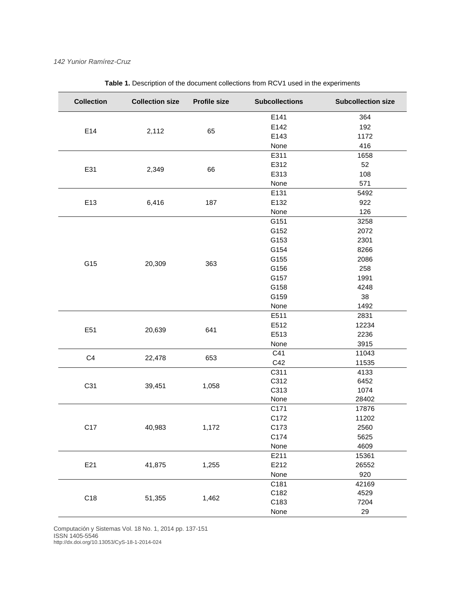| <b>Collection</b> | <b>Collection size</b> | <b>Profile size</b> | <b>Subcollections</b>                                                                                                        | <b>Subcollection size</b> |
|-------------------|------------------------|---------------------|------------------------------------------------------------------------------------------------------------------------------|---------------------------|
|                   |                        |                     | E141                                                                                                                         | 364                       |
| E14               | 2,112                  | 65                  | E142                                                                                                                         | 192                       |
|                   |                        |                     | E143                                                                                                                         | 1172                      |
|                   |                        |                     | None                                                                                                                         | 416                       |
|                   |                        | 66                  | E311                                                                                                                         | 1658                      |
| E31               | 2,349                  |                     | E312                                                                                                                         | 52                        |
|                   |                        |                     | E313                                                                                                                         | 108                       |
|                   |                        |                     | None                                                                                                                         | 571                       |
| E13               | 6,416                  | 187                 | E131                                                                                                                         | 5492                      |
|                   |                        |                     | E132                                                                                                                         | 922                       |
|                   |                        |                     | None                                                                                                                         | 126                       |
|                   | 20,309                 | 363                 | G151                                                                                                                         | 3258                      |
|                   |                        |                     | G152                                                                                                                         | 2072                      |
|                   |                        |                     | G153                                                                                                                         | 2301                      |
|                   |                        |                     | G154                                                                                                                         | 8266                      |
|                   |                        |                     | G155                                                                                                                         | 2086                      |
| G15               |                        |                     | G156                                                                                                                         | 258                       |
|                   |                        |                     | G157                                                                                                                         | 1991                      |
|                   |                        |                     | G158                                                                                                                         | 4248                      |
|                   |                        |                     | G159                                                                                                                         | 38                        |
|                   |                        |                     | None                                                                                                                         | 1492                      |
|                   | 20,639                 | 641                 | E511                                                                                                                         | 2831                      |
| E51               |                        |                     | E512                                                                                                                         | 12234                     |
|                   |                        |                     | E513                                                                                                                         | 2236                      |
|                   |                        |                     | None                                                                                                                         | 3915                      |
| C <sub>4</sub>    |                        |                     | C41                                                                                                                          | 11043                     |
|                   | 22,478                 | 653                 | C42                                                                                                                          | 11535                     |
|                   |                        |                     | C311<br>C312<br>C313<br>None<br>C171<br>C172<br>C173<br>C174<br>None<br>E211<br>E212<br>None<br>C181<br>C182<br>C183<br>None | 4133                      |
| C31               | 39,451                 | 1,058               |                                                                                                                              | 6452                      |
|                   |                        |                     |                                                                                                                              | 1074                      |
|                   |                        |                     |                                                                                                                              | 28402                     |
|                   | 40,983                 | 1,172               |                                                                                                                              | 17876                     |
|                   |                        |                     |                                                                                                                              | 11202                     |
| C <sub>17</sub>   |                        |                     |                                                                                                                              | 2560                      |
|                   |                        |                     |                                                                                                                              | 5625                      |
|                   |                        |                     |                                                                                                                              | 4609                      |
| E21               | 41,875                 | 1,255               |                                                                                                                              | 15361                     |
|                   |                        |                     |                                                                                                                              | 26552                     |
|                   |                        |                     |                                                                                                                              | 920                       |
|                   |                        |                     |                                                                                                                              | 42169                     |
| C18               | 51,355                 | 1,462               |                                                                                                                              | 4529                      |
|                   |                        |                     |                                                                                                                              | 7204                      |
|                   |                        |                     |                                                                                                                              | 29                        |

**Table 1.** Description of the document collections from RCV1 used in the experiments

Computación y Sistemas Vol. 18 No. 1, 2014 pp. 137-151 ISSN 1405-5546

http://dx.doi.org/10.13053/CyS-18-1-2014-024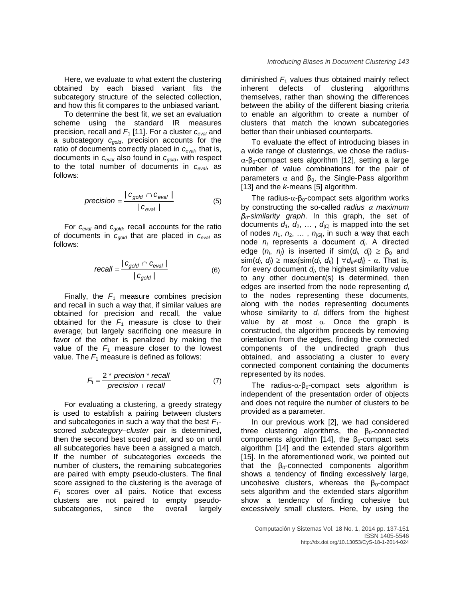Here, we evaluate to what extent the clustering obtained by each biased variant fits the subcategory structure of the selected collection, and how this fit compares to the unbiased variant.

To determine the best fit, we set an evaluation scheme using the standard IR measures precision, recall and *F*<sup>1</sup> [11]. For a cluster *ceval* and a subcategory *cgold*, precision accounts for the ratio of documents correctly placed in  $c_{eval}$ , that is, documents in *ceval* also found in *cgold*, with respect to the total number of documents in *ceval*, as follows:

$$
precision = \frac{|c_{gold} \cap c_{eval}|}{|c_{eval}|}
$$
 (5)

For *ceval* and *cgold*, recall accounts for the ratio of documents in *cgold* that are placed in *ceval* as follows:

$$
recall = \frac{|c_{gold} \cap c_{eval}|}{|c_{gold}|}
$$
 (6)

Finally, the  $F_1$  measure combines precision and recall in such a way that, if similar values are obtained for precision and recall, the value obtained for the  $F_1$  measure is close to their average; but largely sacrificing one measure in favor of the other is penalized by making the value of the  $F_1$  measure closer to the lowest value. The  $F_1$  measure is defined as follows:

$$
F_1 = \frac{2 * precision * recall}{precision + recall}
$$
 (7)

For evaluating a clustering, a greedy strategy is used to establish a pairing between clusters and subcategories in such a way that the best  $F_1$ scored *subcategory*–*cluster* pair is determined, then the second best scored pair, and so on until all subcategories have been a assigned a match. If the number of subcategories exceeds the number of clusters, the remaining subcategories are paired with empty pseudo-clusters. The final score assigned to the clustering is the average of  $F_1$  scores over all pairs. Notice that excess clusters are not paired to empty pseudosubcategories, since the overall largely diminished  $F_1$  values thus obtained mainly reflect inherent defects of clustering algorithms themselves, rather than showing the differences between the ability of the different biasing criteria to enable an algorithm to create a number of clusters that match the known subcategories better than their unbiased counterparts.

To evaluate the effect of introducing biases in a wide range of clusterings, we chose the radius $α$ -β<sub>0</sub>-compact sets algorithm [12], setting a large number of value combinations for the pair of parameters  $\alpha$  and  $\beta_0$ , the Single-Pass algorithm [13] and the *k*-means [5] algorithm.

The radius- $\alpha$ - $\beta_0$ -compact sets algorithm works by constructing the so-called *radius* <sup>α</sup> *maximum β0*-*similarity graph*. In this graph, the set of documents  $d_1$ ,  $d_2$ , ...,  $d_{|C|}$  is mapped into the set of nodes  $n_1$ ,  $n_2$ , ...,  $n_{|G|}$ , in such a way that each node *ni* represents a document *di* . A directed edge  $(n_i, n_j)$  is inserted if sim $(d_i, d_j) \geq \beta_0$  and  $\textsf{sim}(d_i, d_j)$  ≥ max{sim(*d<sub>i</sub>*, *d<sub>k</sub>*) | ∀*d<sub>k</sub>≠d<sub>i</sub>*} - α. That is, for every document *di* , the highest similarity value to any other document(s) is determined, then edges are inserted from the node representing *di* to the nodes representing these documents, along with the nodes representing documents whose similarity to  $d_i$  differs from the highest value by at most  $α$ . Once the graph is constructed, the algorithm proceeds by removing orientation from the edges, finding the connected components of the undirected graph thus obtained, and associating a cluster to every connected component containing the documents represented by its nodes.

The radius- $\alpha$ - $\beta_0$ -compact sets algorithm is independent of the presentation order of objects and does not require the number of clusters to be provided as a parameter.

In our previous work [2], we had considered three clustering algorithms, the  $\beta_0$ -connected components algorithm [14], the  $\beta_0$ -compact sets algorithm [14] and the extended stars algorithm [15]. In the aforementioned work, we pointed out that the  $\beta_0$ -connected components algorithm shows a tendency of finding excessively large, uncohesive clusters, whereas the  $\beta_0$ -compact sets algorithm and the extended stars algorithm show a tendency of finding cohesive but excessively small clusters. Here, by using the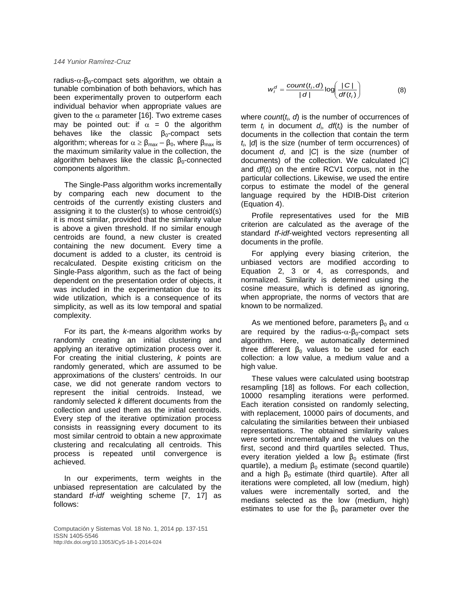radius- $\alpha$ -β<sub>0</sub>-compact sets algorithm, we obtain a tunable combination of both behaviors, which has been experimentally proven to outperform each individual behavior when appropriate values are given to the  $\alpha$  parameter [16]. Two extreme cases may be pointed out: if  $\alpha = 0$  the algorithm behaves like the classic  $\beta_0$ -compact sets algorithm; whereas for  $\alpha \geq \beta_{max} - \beta_0$ , where  $\beta_{max}$  is the maximum similarity value in the collection, the algorithm behaves like the classic  $\beta_0$ -connected components algorithm.

The Single-Pass algorithm works incrementally by comparing each new document to the centroids of the currently existing clusters and assigning it to the cluster(s) to whose centroid(s) it is most similar, provided that the similarity value is above a given threshold. If no similar enough centroids are found, a new cluster is created containing the new document. Every time a document is added to a cluster, its centroid is recalculated. Despite existing criticism on the Single-Pass algorithm, such as the fact of being dependent on the presentation order of objects, it was included in the experimentation due to its wide utilization, which is a consequence of its simplicity, as well as its low temporal and spatial complexity.

For its part, the *k*-means algorithm works by randomly creating an initial clustering and applying an iterative optimization process over it. For creating the initial clustering, *k* points are randomly generated, which are assumed to be approximations of the clusters' centroids. In our case, we did not generate random vectors to represent the initial centroids. Instead, we randomly selected *k* different documents from the collection and used them as the initial centroids. Every step of the iterative optimization process consists in reassigning every document to its most similar centroid to obtain a new approximate clustering and recalculating all centroids. This process is repeated until convergence is achieved.

In our experiments, term weights in the unbiased representation are calculated by the standard *tf*-*idf* weighting scheme [7, 17] as follows:

$$
w_i^d = \frac{count(t_i, d)}{|d|} \log \left( \frac{|C|}{df(t_i)} \right) \tag{8}
$$

where *count*(*ti* , *d*) is the number of occurrences of term *ti* in document *di* , *df*(*ti* ) is the number of documents in the collection that contain the term *ti* , |*d*| is the size (number of term occurrences) of document *d*, and |*C*| is the size (number of documents) of the collection. We calculated |*C*| and *df*(*ti* ) on the entire RCV1 corpus, not in the particular collections. Likewise, we used the entire corpus to estimate the model of the general language required by the HDIB-Dist criterion (Equation 4).

Profile representatives used for the MIB criterion are calculated as the average of the standard *tf*-*idf*-weighted vectors representing all documents in the profile.

For applying every biasing criterion, the unbiased vectors are modified according to Equation 2, 3 or 4, as corresponds, and normalized. Similarity is determined using the cosine measure, which is defined as ignoring, when appropriate, the norms of vectors that are known to be normalized.

As we mentioned before, parameters  $\beta_0$  and  $\alpha$ are required by the radius- $\alpha$ - $\beta_0$ -compact sets algorithm. Here, we automatically determined three different  $β_0$  values to be used for each collection: a low value, a medium value and a high value.

These values were calculated using bootstrap resampling [18] as follows. For each collection, 10000 resampling iterations were performed. Each iteration consisted on randomly selecting, with replacement, 10000 pairs of documents, and calculating the similarities between their unbiased representations. The obtained similarity values were sorted incrementally and the values on the first, second and third quartiles selected. Thus, every iteration yielded a low  $\beta_0$  estimate (first quartile), a medium  $\beta_0$  estimate (second quartile) and a high  $\beta_0$  estimate (third quartile). After all iterations were completed, all low (medium, high) values were incrementally sorted, and the medians selected as the low (medium, high) estimates to use for the  $\beta_0$  parameter over the

Computación y Sistemas Vol. 18 No. 1, 2014 pp. 137-151 ISSN 1405-5546 http://dx.doi.org/10.13053/CyS-18-1-2014-024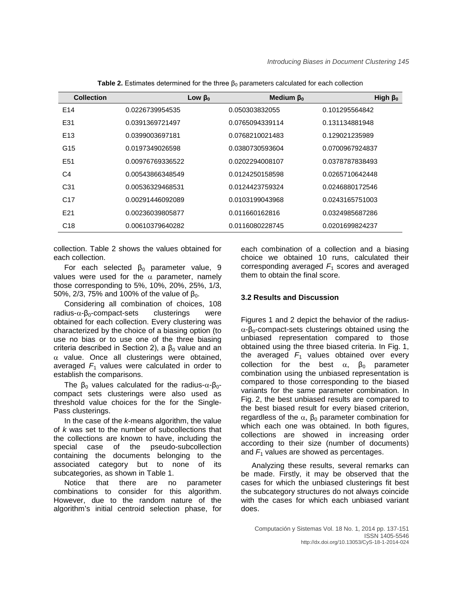| <b>Collection</b> | Low $β_0$        | Medium $\beta_0$ | High $\beta_0$  |
|-------------------|------------------|------------------|-----------------|
| E14               | 0.0226739954535  | 0.050303832055   | 0.101295564842  |
| E31               | 0.0391369721497  | 0.0765094339114  | 0.131134881948  |
| E <sub>13</sub>   | 0.0399003697181  | 0.0768210021483  | 0.129021235989  |
| G15               | 0.0197349026598  | 0.0380730593604  | 0.0700967924837 |
| E <sub>51</sub>   | 0.00976769336522 | 0.0202294008107  | 0.0378787838493 |
| C4                | 0.00543866348549 | 0.0124250158598  | 0.0265710642448 |
| C <sub>31</sub>   | 0.00536329468531 | 0.0124423759324  | 0.0246880172546 |
| C <sub>17</sub>   | 0.00291446092089 | 0.0103199043968  | 0.0243165751003 |
| E21               | 0.00236039805877 | 0.011660162816   | 0.0324985687286 |
| C <sub>18</sub>   | 0.00610379640282 | 0.0116080228745  | 0.0201699824237 |

**Table 2.** Estimates determined for the three  $\beta_0$  parameters calculated for each collection

collection. Table 2 shows the values obtained for each collection.

For each selected  $\beta_0$  parameter value, 9 values were used for the  $\alpha$  parameter, namely those corresponding to 5%, 10%, 20%, 25%, 1/3, 50%, 2/3, 75% and 100% of the value of  $β_0$ .

Considering all combination of choices, 108  $r$ adius- $\alpha$ - $\beta$ <sub>0</sub>-compact-sets clusterings were obtained for each collection. Every clustering was characterized by the choice of a biasing option (to use no bias or to use one of the three biasing criteria described in Section 2), a  $β_0$  value and an  $\alpha$  value. Once all clusterings were obtained, averaged  $F_1$  values were calculated in order to establish the comparisons.

The  $\beta_0$  values calculated for the radius- $\alpha$ - $\beta_0$ compact sets clusterings were also used as threshold value choices for the for the Single-Pass clusterings.

In the case of the *k*-means algorithm, the value of *k* was set to the number of subcollections that the collections are known to have, including the special case of the pseudo-subcollection containing the documents belonging to the associated category but to none of its subcategories, as shown in Table 1.

Notice that there are no parameter combinations to consider for this algorithm. However, due to the random nature of the algorithm's initial centroid selection phase, for each combination of a collection and a biasing choice we obtained 10 runs, calculated their corresponding averaged *F*<sup>1</sup> scores and averaged them to obtain the final score.

### **3.2 Results and Discussion**

Figures 1 and 2 depict the behavior of the radius $α$ -β<sub>0</sub>-compact-sets clusterings obtained using the unbiased representation compared to those obtained using the three biased criteria. In Fig. 1, the averaged  $F_1$  values obtained over every collection for the best  $\alpha$ ,  $\beta_0$  parameter combination using the unbiased representation is compared to those corresponding to the biased variants for the same parameter combination. In Fig. 2, the best unbiased results are compared to the best biased result for every biased criterion, regardless of the  $\alpha$ ,  $\beta_0$  parameter combination for which each one was obtained. In both figures, collections are showed in increasing order according to their size (number of documents) and  $F_1$  values are showed as percentages.

Analyzing these results, several remarks can be made. Firstly, it may be observed that the cases for which the unbiased clusterings fit best the subcategory structures do not always coincide with the cases for which each unbiased variant does.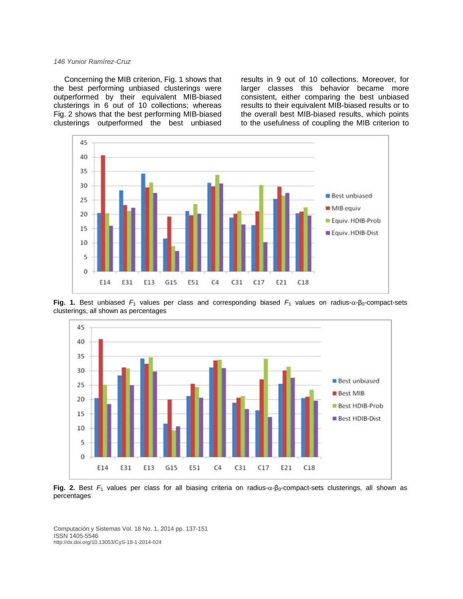Concerning the MIB criterion, Fig. 1 shows that the best performing unbiased clusterings were outperformed by their equivalent MIB-biased clusterings in 6 out of 10 collections; whereas Fig. 2 shows that the best performing MIB-biased clusterings outperformed the best unbiased

results in 9 out of 10 collections. Moreover, for larger classes this behavior became more consistent, either comparing the best unbiased results to their equivalent MIB-biased results or to the overall best MIB-biased results, which points to the usefulness of coupling the MIB criterion to



**Fig. 1.** Best unbiased  $F_1$  values per class and corresponding biased  $F_1$  values on radius- $\alpha$ - $\beta_0$ -compact-sets clusterings, all shown as percentages



Fig. 2. Best *F*<sub>1</sub> values per class for all biasing criteria on radius-α-β<sub>0</sub>-compact-sets clusterings, all shown as percentages

Computación y Sistemas Vol. 18 No. 1, 2014 pp. 137-151 ISSN 1405-5546 http://dx.doi.org/10.13053/CyS-18-1-2014-024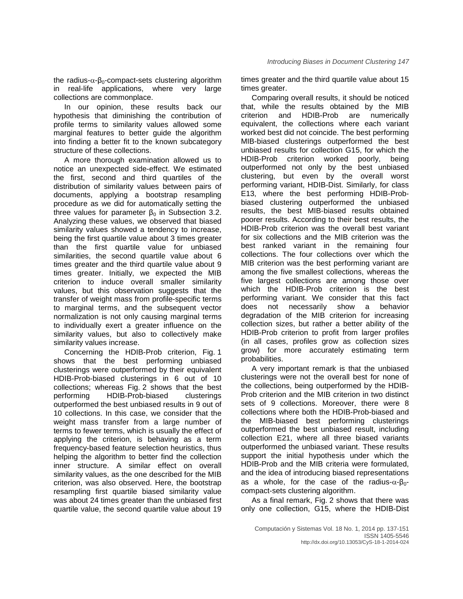the radius- $\alpha$ - $\beta_0$ -compact-sets clustering algorithm in real-life applications, where very large collections are commonplace.

In our opinion, these results back our hypothesis that diminishing the contribution of profile terms to similarity values allowed some marginal features to better guide the algorithm into finding a better fit to the known subcategory structure of these collections.

A more thorough examination allowed us to notice an unexpected side-effect. We estimated the first, second and third quartiles of the distribution of similarity values between pairs of documents, applying a bootstrap resampling procedure as we did for automatically setting the three values for parameter  $β_0$  in Subsection 3.2. Analyzing these values, we observed that biased similarity values showed a tendency to increase, being the first quartile value about 3 times greater than the first quartile value for unbiased similarities, the second quartile value about 6 times greater and the third quartile value about 9 times greater. Initially, we expected the MIB criterion to induce overall smaller similarity values, but this observation suggests that the transfer of weight mass from profile-specific terms to marginal terms, and the subsequent vector normalization is not only causing marginal terms to individually exert a greater influence on the similarity values, but also to collectively make similarity values increase.

Concerning the HDIB-Prob criterion, Fig. 1 shows that the best performing unbiased clusterings were outperformed by their equivalent HDIB-Prob-biased clusterings in 6 out of 10 collections; whereas Fig. 2 shows that the best performing HDIB-Prob-biased clusterings outperformed the best unbiased results in 9 out of 10 collections. In this case, we consider that the weight mass transfer from a large number of terms to fewer terms, which is usually the effect of applying the criterion, is behaving as a term frequency-based feature selection heuristics, thus helping the algorithm to better find the collection inner structure. A similar effect on overall similarity values, as the one described for the MIB criterion, was also observed. Here, the bootstrap resampling first quartile biased similarity value was about 24 times greater than the unbiased first quartile value, the second quartile value about 19

times greater and the third quartile value about 15 times greater.

Comparing overall results, it should be noticed that, while the results obtained by the MIB criterion and HDIB-Prob are numerically equivalent, the collections where each variant worked best did not coincide. The best performing MIB-biased clusterings outperformed the best unbiased results for collection G15, for which the HDIB-Prob criterion worked poorly, being outperformed not only by the best unbiased clustering, but even by the overall worst performing variant, HDIB-Dist. Similarly, for class E13, where the best performing HDIB-Probbiased clustering outperformed the unbiased results, the best MIB-biased results obtained poorer results. According to their best results, the HDIB-Prob criterion was the overall best variant for six collections and the MIB criterion was the best ranked variant in the remaining four collections. The four collections over which the MIB criterion was the best performing variant are among the five smallest collections, whereas the five largest collections are among those over which the HDIB-Prob criterion is the best performing variant. We consider that this fact does not necessarily show a behavior degradation of the MIB criterion for increasing collection sizes, but rather a better ability of the HDIB-Prob criterion to profit from larger profiles (in all cases, profiles grow as collection sizes grow) for more accurately estimating term probabilities.

A very important remark is that the unbiased clusterings were not the overall best for none of the collections, being outperformed by the HDIB-Prob criterion and the MIB criterion in two distinct sets of 9 collections. Moreover, there were 8 collections where both the HDIB-Prob-biased and the MIB-biased best performing clusterings outperformed the best unbiased result, including collection E21, where all three biased variants outperformed the unbiased variant. These results support the initial hypothesis under which the HDIB-Prob and the MIB criteria were formulated, and the idea of introducing biased representations as a whole, for the case of the radius- $α$ - $β$ <sub>0</sub>compact-sets clustering algorithm.

As a final remark, Fig. 2 shows that there was only one collection, G15, where the HDIB-Dist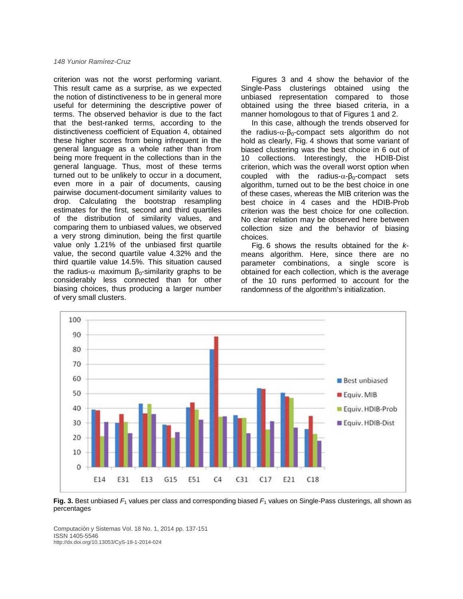criterion was not the worst performing variant. This result came as a surprise, as we expected the notion of distinctiveness to be in general more useful for determining the descriptive power of terms. The observed behavior is due to the fact that the best-ranked terms, according to the distinctiveness coefficient of Equation 4, obtained these higher scores from being infrequent in the general language as a whole rather than from being more frequent in the collections than in the general language. Thus, most of these terms turned out to be unlikely to occur in a document, even more in a pair of documents, causing pairwise document-document similarity values to drop. Calculating the bootstrap resampling estimates for the first, second and third quartiles of the distribution of similarity values, and comparing them to unbiased values, we observed a very strong diminution, being the first quartile value only 1.21% of the unbiased first quartile value, the second quartile value 4.32% and the third quartile value 14.5%. This situation caused the radius- $\alpha$  maximum  $\beta_0$ -similarity graphs to be considerably less connected than for other biasing choices, thus producing a larger number of very small clusters.

Figures 3 and 4 show the behavior of the Single-Pass clusterings obtained using the unbiased representation compared to those obtained using the three biased criteria, in a manner homologous to that of Figures 1 and 2.

In this case, although the trends observed for the radius- $\alpha$ - $\beta_0$ -compact sets algorithm do not hold as clearly, Fig. 4 shows that some variant of biased clustering was the best choice in 6 out of 10 collections. Interestingly, the HDIB-Dist criterion, which was the overall worst option when coupled with the radius- $\alpha$ - $\beta_0$ -compact sets algorithm, turned out to be the best choice in one of these cases, whereas the MIB criterion was the best choice in 4 cases and the HDIB-Prob criterion was the best choice for one collection. No clear relation may be observed here between collection size and the behavior of biasing choices.

Fig. 6 shows the results obtained for the *k*means algorithm. Here, since there are no parameter combinations, a single score is obtained for each collection, which is the average of the 10 runs performed to account for the randomness of the algorithm's initialization.



**Fig. 3.** Best unbiased  $F_1$  values per class and corresponding biased  $F_1$  values on Single-Pass clusterings, all shown as percentages

Computación y Sistemas Vol. 18 No. 1, 2014 pp. 137-151 ISSN 1405-5546 http://dx.doi.org/10.13053/CyS-18-1-2014-024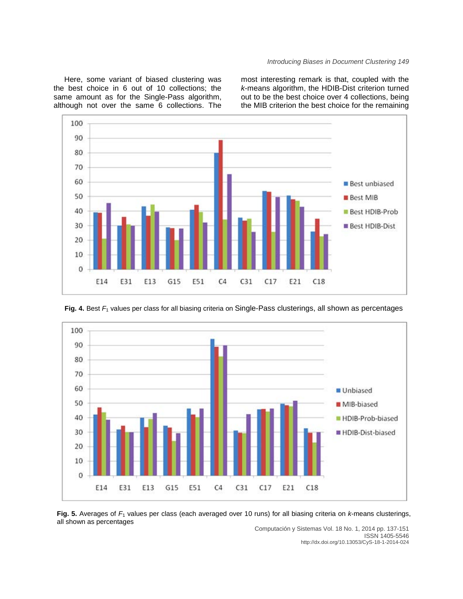### *Introducing Biases in Document Clustering 149*

Here, some variant of biased clustering was the best choice in 6 out of 10 collections; the same amount as for the Single-Pass algorithm, although not over the same 6 collections. The most interesting remark is that, coupled with the *k*-means algorithm, the HDIB-Dist criterion turned out to be the best choice over 4 collections, being the MIB criterion the best choice for the remaining





**Fig. 4.** Best *F*<sup>1</sup> values per class for all biasing criteria on Single-Pass clusterings, all shown as percentages

**Fig. 5.** Averages of *F*<sup>1</sup> values per class (each averaged over 10 runs) for all biasing criteria on *k*-means clusterings, all shown as percentages

Computación y Sistemas Vol. 18 No. 1, 2014 pp. 137-151 ISSN 1405-5546 http://dx.doi.org/10.13053/CyS-18-1-2014-024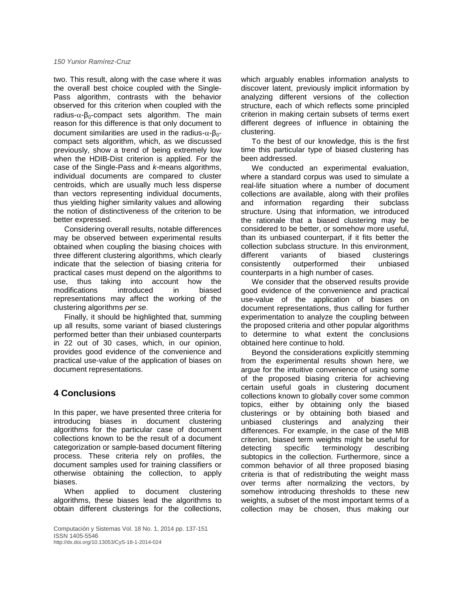two. This result, along with the case where it was the overall best choice coupled with the Single-Pass algorithm, contrasts with the behavior observed for this criterion when coupled with the radius- $\alpha$ - $\beta_0$ -compact sets algorithm. The main reason for this difference is that only document to document similarities are used in the radius- $\alpha$ -β<sub>0</sub>compact sets algorithm, which, as we discussed previously, show a trend of being extremely low when the HDIB-Dist criterion is applied. For the case of the Single-Pass and *k*-means algorithms, individual documents are compared to cluster centroids, which are usually much less disperse than vectors representing individual documents, thus yielding higher similarity values and allowing the notion of distinctiveness of the criterion to be better expressed.

Considering overall results, notable differences may be observed between experimental results obtained when coupling the biasing choices with three different clustering algorithms, which clearly indicate that the selection of biasing criteria for practical cases must depend on the algorithms to use, thus taking into account how the modifications introduced in biased representations may affect the working of the clustering algorithms *per se*.

Finally, it should be highlighted that, summing up all results, some variant of biased clusterings performed better than their unbiased counterparts in 22 out of 30 cases, which, in our opinion, provides good evidence of the convenience and practical use-value of the application of biases on document representations.

# **4 Conclusions**

In this paper, we have presented three criteria for introducing biases in document clustering algorithms for the particular case of document collections known to be the result of a document categorization or sample-based document filtering process. These criteria rely on profiles, the document samples used for training classifiers or otherwise obtaining the collection, to apply biases.

When applied to document clustering algorithms, these biases lead the algorithms to obtain different clusterings for the collections,

Computación y Sistemas Vol. 18 No. 1, 2014 pp. 137-151 ISSN 1405-5546 http://dx.doi.org/10.13053/CyS-18-1-2014-024

which arguably enables information analysts to discover latent, previously implicit information by analyzing different versions of the collection structure, each of which reflects some principled criterion in making certain subsets of terms exert different degrees of influence in obtaining the clustering.

To the best of our knowledge, this is the first time this particular type of biased clustering has been addressed.

We conducted an experimental evaluation, where a standard corpus was used to simulate a real-life situation where a number of document collections are available, along with their profiles and information regarding their subclass structure. Using that information, we introduced the rationale that a biased clustering may be considered to be better, or somehow more useful, than its unbiased counterpart, if it fits better the collection subclass structure. In this environment, different variants of biased clusterings consistently outperformed their unbiased counterparts in a high number of cases.

We consider that the observed results provide good evidence of the convenience and practical use-value of the application of biases on document representations, thus calling for further experimentation to analyze the coupling between the proposed criteria and other popular algorithms to determine to what extent the conclusions obtained here continue to hold.

Beyond the considerations explicitly stemming from the experimental results shown here, we argue for the intuitive convenience of using some of the proposed biasing criteria for achieving certain useful goals in clustering document collections known to globally cover some common topics, either by obtaining only the biased clusterings or by obtaining both biased and unbiased clusterings and analyzing their differences. For example, in the case of the MIB criterion, biased term weights might be useful for detecting specific terminology describing subtopics in the collection. Furthermore, since a common behavior of all three proposed biasing criteria is that of redistributing the weight mass over terms after normalizing the vectors, by somehow introducing thresholds to these new weights, a subset of the most important terms of a collection may be chosen, thus making our